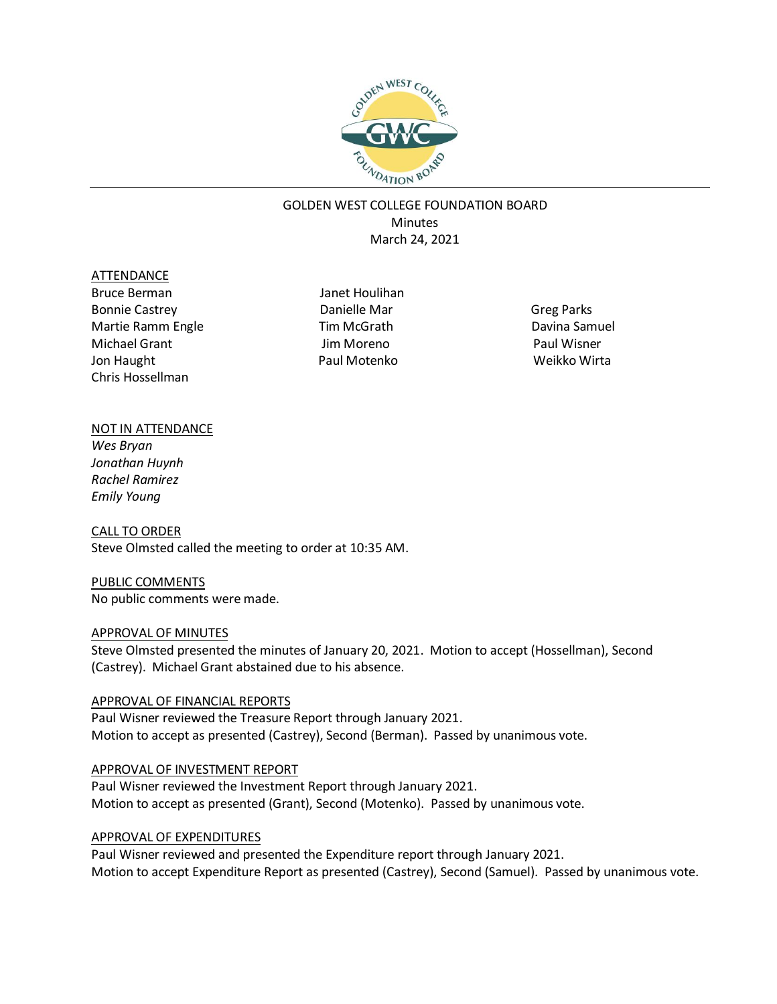

# GOLDEN WEST COLLEGE FOUNDATION BOARD **Minutes** March 24, 2021

#### ATTENDANCE

Bruce Berman Janet Houlihan Bonnie Castrey **Danielle Mar** Bonnie Castrey **Danielle Mar** Greg Parks Martie Ramm Engle Tim McGrath Davina Samuel Michael Grant Jon Haught Chris Hossellman

 Jim Moreno Paul Motenko

Paul Wisner Weikko Wirta

# NOT IN ATTENDANCE

*Wes Bryan Jonathan Huynh Rachel Ramirez Emily Young*

CALL TO ORDER Steve Olmsted called the meeting to order at 10:35 AM.

PUBLIC COMMENTS No public comments were made.

### APPROVAL OF MINUTES

Steve Olmsted presented the minutes of January 20, 2021. Motion to accept (Hossellman), Second (Castrey). Michael Grant abstained due to his absence.

### APPROVAL OF FINANCIAL REPORTS

Paul Wisner reviewed the Treasure Report through January 2021. Motion to accept as presented (Castrey), Second (Berman). Passed by unanimous vote.

### APPROVAL OF INVESTMENT REPORT

Paul Wisner reviewed the Investment Report through January 2021. Motion to accept as presented (Grant), Second (Motenko). Passed by unanimous vote.

### APPROVAL OF EXPENDITURES

Paul Wisner reviewed and presented the Expenditure report through January 2021. Motion to accept Expenditure Report as presented (Castrey), Second (Samuel). Passed by unanimous vote.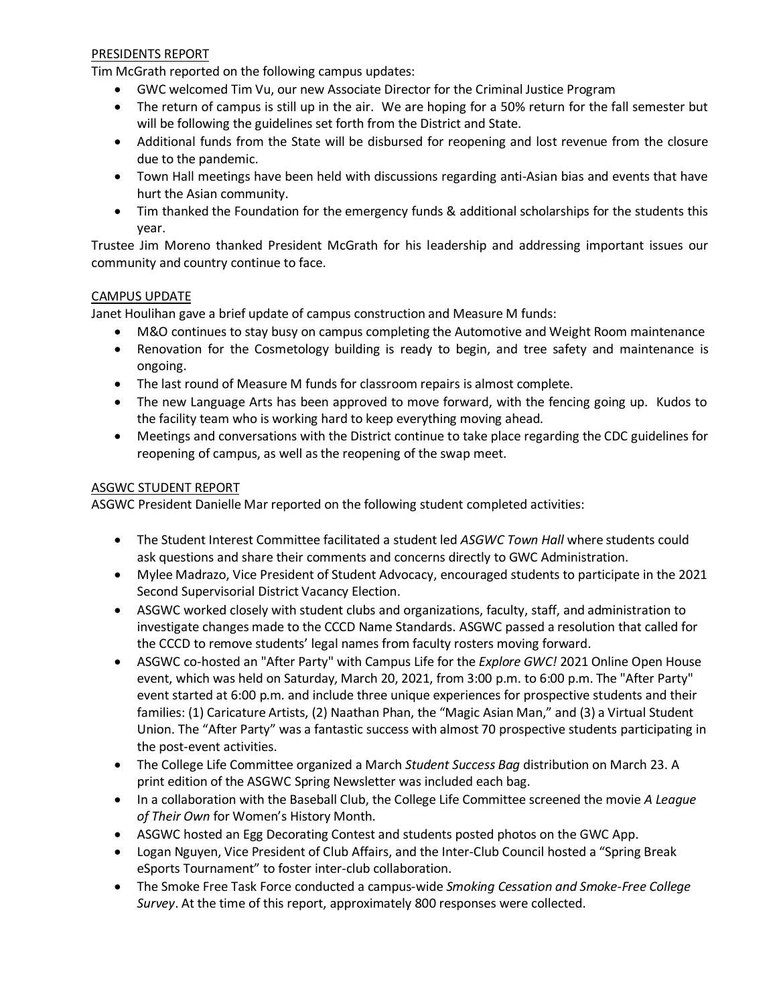### PRESIDENTS REPORT

Tim McGrath reported on the following campus updates:

- GWC welcomed Tim Vu, our new Associate Director for the Criminal Justice Program
- The return of campus is still up in the air. We are hoping for a 50% return for the fall semester but will be following the guidelines set forth from the District and State.
- Additional funds from the State will be disbursed for reopening and lost revenue from the closure due to the pandemic.
- Town Hall meetings have been held with discussions regarding anti-Asian bias and events that have hurt the Asian community.
- Tim thanked the Foundation for the emergency funds & additional scholarships for the students this year.

Trustee Jim Moreno thanked President McGrath for his leadership and addressing important issues our community and country continue to face.

# CAMPUS UPDATE

Janet Houlihan gave a brief update of campus construction and Measure M funds:

- M&O continues to stay busy on campus completing the Automotive and Weight Room maintenance
- Renovation for the Cosmetology building is ready to begin, and tree safety and maintenance is ongoing.
- The last round of Measure M funds for classroom repairs is almost complete.
- The new Language Arts has been approved to move forward, with the fencing going up. Kudos to the facility team who is working hard to keep everything moving ahead.
- Meetings and conversations with the District continue to take place regarding the CDC guidelines for reopening of campus, as well as the reopening of the swap meet.

# ASGWC STUDENT REPORT

ASGWC President Danielle Mar reported on the following student completed activities:

- The Student Interest Committee facilitated a student led *ASGWC Town Hall* where students could ask questions and share their comments and concerns directly to GWC Administration.
- Mylee Madrazo, Vice President of Student Advocacy, encouraged students to participate in the 2021 Second Supervisorial District Vacancy Election.
- ASGWC worked closely with student clubs and organizations, faculty, staff, and administration to investigate changes made to the CCCD Name Standards. ASGWC passed a resolution that called for the CCCD to remove students' legal names from faculty rosters moving forward.
- ASGWC co-hosted an "After Party" with Campus Life for the *Explore GWC!* 2021 Online Open House event, which was held on Saturday, March 20, 2021, from 3:00 p.m. to 6:00 p.m. The "After Party" event started at 6:00 p.m. and include three unique experiences for prospective students and their families: (1) Caricature Artists, (2) Naathan Phan, the "Magic Asian Man," and (3) a Virtual Student Union. The "After Party" was a fantastic success with almost 70 prospective students participating in the post-event activities.
- The College Life Committee organized a March *Student Success Bag* distribution on March 23. A print edition of the ASGWC Spring Newsletter was included each bag.
- In a collaboration with the Baseball Club, the College Life Committee screened the movie *A League of Their Own* for Women's History Month.
- ASGWC hosted an Egg Decorating Contest and students posted photos on the GWC App.
- Logan Nguyen, Vice President of Club Affairs, and the Inter-Club Council hosted a "Spring Break eSports Tournament" to foster inter-club collaboration.
- The Smoke Free Task Force conducted a campus-wide *Smoking Cessation and Smoke-Free College Survey*. At the time of this report, approximately 800 responses were collected.